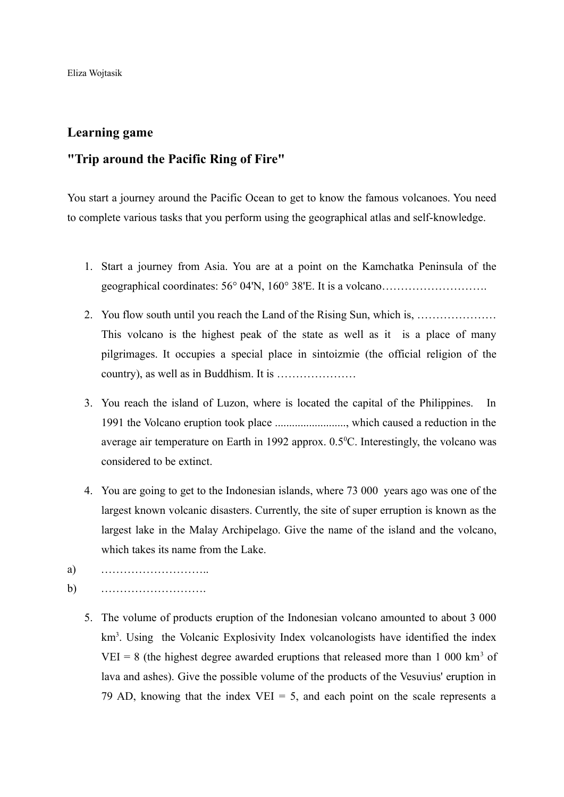Eliza Wojtasik

## **Learning game**

## **"Trip around the Pacific Ring of Fire"**

You start a journey around the Pacific Ocean to get to know the famous volcanoes. You need to complete various tasks that you perform using the geographical atlas and self-knowledge.

- 1. Start a journey from Asia. You are at a point on the Kamchatka Peninsula of the geographical coordinates: 56° 04'N, 160° 38'E. It is a volcano……………………….
- 2. You flow south until you reach the Land of the Rising Sun, which is, ………………… This volcano is the highest peak of the state as well as it is a place of many pilgrimages. It occupies a special place in sintoizmie (the official religion of the country), as well as in Buddhism. It is …………………
- 3. You reach the island of Luzon, where is located the capital of the Philippines. In 1991 the Volcano eruption took place ........................., which caused a reduction in the average air temperature on Earth in 1992 approx.  $0.5^{\circ}$ C. Interestingly, the volcano was considered to be extinct.
- 4. You are going to get to the Indonesian islands, where 73 000 years ago was one of the largest known volcanic disasters. Currently, the site of super erruption is known as the largest lake in the Malay Archipelago. Give the name of the island and the volcano, which takes its name from the Lake.
- a) ………………………..
- b) ……………………….
	- 5. The volume of products eruption of the Indonesian volcano amounted to about 3 000 km<sup>3</sup>. Using the Volcanic Explosivity Index volcanologists have identified the index VEI = 8 (the highest degree awarded eruptions that released more than 1 000 km<sup>3</sup> of lava and ashes). Give the possible volume of the products of the Vesuvius' eruption in 79 AD, knowing that the index VEI  $=$  5, and each point on the scale represents a